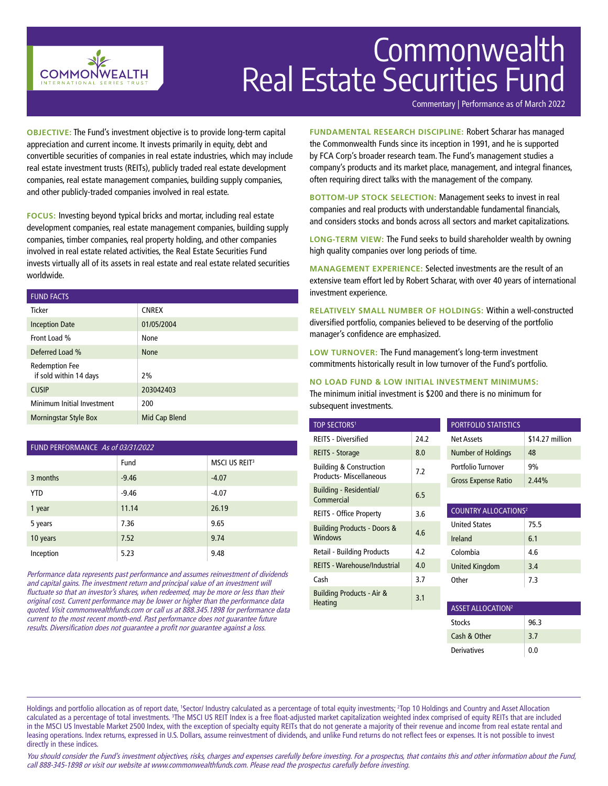

# Commonwealth Real Estate Securities Fund

Commentary | Performance as of March 2022

**OBJECTIVE:** The Fund's investment objective is to provide long-term capital appreciation and current income. It invests primarily in equity, debt and convertible securities of companies in real estate industries, which may include real estate investment trusts (REITs), publicly traded real estate development companies, real estate management companies, building supply companies, and other publicly-traded companies involved in real estate.

**FOCUS:** Investing beyond typical bricks and mortar, including real estate development companies, real estate management companies, building supply companies, timber companies, real property holding, and other companies involved in real estate related activities, the Real Estate Securities Fund invests virtually all of its assets in real estate and real estate related securities worldwide.

| <b>FUND FACTS</b>                               |               |
|-------------------------------------------------|---------------|
| <b>Ticker</b>                                   | <b>CNREX</b>  |
| <b>Inception Date</b>                           | 01/05/2004    |
| Front Load %                                    | None          |
| Deferred Load %                                 | <b>None</b>   |
| <b>Redemption Fee</b><br>if sold within 14 days | 2%            |
| <b>CUSIP</b>                                    | 203042403     |
| Minimum Initial Investment                      | 200           |
| <b>Morningstar Style Box</b>                    | Mid Cap Blend |

| FUND PERFORMANCE As of 03/31/2022 |         |                           |  |
|-----------------------------------|---------|---------------------------|--|
|                                   | Fund    | MSCI US REIT <sup>3</sup> |  |
| 3 months                          | $-9.46$ | $-4.07$                   |  |
| <b>YTD</b>                        | $-9.46$ | $-4.07$                   |  |
| 1 year                            | 11.14   | 26.19                     |  |
| 5 years                           | 7.36    | 9.65                      |  |
| 10 years                          | 7.52    | 9.74                      |  |
| Inception                         | 5.23    | 9.48                      |  |

Performance data represents past performance and assumes reinvestment of dividends and capital gains. The investment return and principal value of an investment will fluctuate so that an investor's shares, when redeemed, may be more or less than their original cost. Current performance may be lower or higher than the performance data quoted. Visit commonwealthfunds.com or call us at 888.345.1898 for performance data current to the most recent month-end. Past performance does not guarantee future results. Diversification does not guarantee a profit nor guarantee against a loss.

**FUNDAMENTAL RESEARCH DISCIPLINE:** Robert Scharar has managed the Commonwealth Funds since its inception in 1991, and he is supported by FCA Corp's broader research team. The Fund's management studies a company's products and its market place, management, and integral finances, often requiring direct talks with the management of the company.

**BOTTOM-UP STOCK SELECTION:** Management seeks to invest in real companies and real products with understandable fundamental financials, and considers stocks and bonds across all sectors and market capitalizations.

**LONG-TERM VIEW:** The Fund seeks to build shareholder wealth by owning high quality companies over long periods of time.

**MANAGEMENT EXPERIENCE:** Selected investments are the result of an extensive team effort led by Robert Scharar, with over 40 years of international investment experience.

**RELATIVELY SMALL NUMBER OF HOLDINGS:** Within a well-constructed diversified portfolio, companies believed to be deserving of the portfolio manager's confidence are emphasized.

**LOW TURNOVER:** The Fund management's long-term investment commitments historically result in low turnover of the Fund's portfolio.

## **NO LOAD FUND & LOW INITIAL INVESTMENT MINIMUMS:**

The minimum initial investment is \$200 and there is no minimum for subsequent investments.

| <b>TOP SECTORS1</b>                    |      | <b>PORTFOLIO STATISTICS</b>            |                 |
|----------------------------------------|------|----------------------------------------|-----------------|
| <b>REITS - Diversified</b>             | 24.2 | Net Assets                             | \$14.27 million |
| REITS - Storage                        | 8.0  | Number of Holdings                     | 48              |
| <b>Building &amp; Construction</b>     | 7.2  | Portfolio Turnover                     | 9%              |
| <b>Products-Miscellaneous</b>          |      | <b>Gross Expense Ratio</b>             | 2.44%           |
| Building - Residential/<br>Commercial  | 6.5  |                                        |                 |
| <b>REITS - Office Property</b>         | 3.6  | <b>COUNTRY ALLOCATIONS<sup>2</sup></b> |                 |
| <b>Building Products - Doors &amp;</b> |      | <b>United States</b>                   | 75.5            |
| <b>Windows</b>                         | 4.6  | Ireland                                | 6.1             |
| <b>Retail - Building Products</b>      | 4.2  | Colombia                               | 4.6             |
| <b>REITS - Warehouse/Industrial</b>    | 4.0  | <b>United Kingdom</b>                  | 3.4             |
| Cash                                   | 3.7  | Other                                  | 7.3             |
| Building Products - Air &<br>Heating   | 3.1  |                                        |                 |
|                                        |      | <b>ASSET ALLOCATION<sup>2</sup></b>    |                 |
|                                        |      |                                        |                 |

| ASSET ALLOCATION   |      |  |
|--------------------|------|--|
| <b>Stocks</b>      | 96.3 |  |
| Cash & Other       | 3.7  |  |
| <b>Derivatives</b> | 0.0  |  |

Holdings and portfolio allocation as of report date, 'Sector/ Industry calculated as a percentage of total equity investments; <sup>2</sup>Top 10 Holdings and Country and Asset Allocation calculated as a percentage of total investments. <sup>3</sup>The MSCI US REIT Index is a free float-adjusted market capitalization weighted index comprised of equity REITs that are included in the MSCI US Investable Market 2500 Index, with the exception of specialty equity REITs that do not generate a majority of their revenue and income from real estate rental and leasing operations. Index returns, expressed in U.S. Dollars, assume reinvestment of dividends, and unlike Fund returns do not reflect fees or expenses. It is not possible to invest directly in these indices.

You should consider the Fund's investment objectives, risks, charges and expenses carefully before investing. For a prospectus, that contains this and other information about the Fund, call 888-345-1898 or visit our website at www.commonwealthfunds.com. Please read the prospectus carefully before investing.